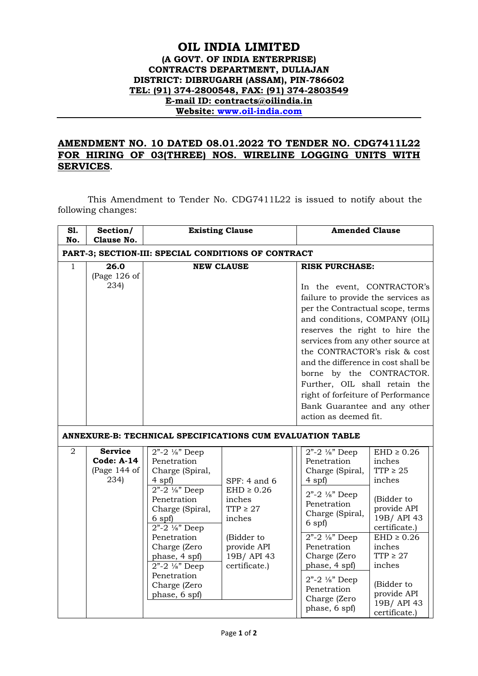## **OIL INDIA LIMITED (A GOVT. OF INDIA ENTERPRISE) CONTRACTS DEPARTMENT, DULIAJAN DISTRICT: DIBRUGARH (ASSAM), PIN-786602 TEL: (91) 374-2800548, FAX: (91) 374-2803549 E-mail ID: contracts@oilindia.in Website: [www.oil-india.com](http://www.oil-india.com/)**

## **AMENDMENT NO. 10 DATED 08.01.2022 TO TENDER NO. CDG7411L22 FOR HIRING OF 03(THREE) NOS. WIRELINE LOGGING UNITS WITH SERVICES.**

This Amendment to Tender No. CDG7411L22 is issued to notify about the following changes:

| <b>S1.</b><br>No.                                   | Section/<br>Clause No.                                        | <b>Existing Clause</b>                                                                                                                                                                                                                                                                                                                                    |                                                                                                                                  | <b>Amended Clause</b>                                                                                                                                                                                                                                                                                                                                                                                                                                                                                                                |  |  |
|-----------------------------------------------------|---------------------------------------------------------------|-----------------------------------------------------------------------------------------------------------------------------------------------------------------------------------------------------------------------------------------------------------------------------------------------------------------------------------------------------------|----------------------------------------------------------------------------------------------------------------------------------|--------------------------------------------------------------------------------------------------------------------------------------------------------------------------------------------------------------------------------------------------------------------------------------------------------------------------------------------------------------------------------------------------------------------------------------------------------------------------------------------------------------------------------------|--|--|
| PART-3; SECTION-III: SPECIAL CONDITIONS OF CONTRACT |                                                               |                                                                                                                                                                                                                                                                                                                                                           |                                                                                                                                  |                                                                                                                                                                                                                                                                                                                                                                                                                                                                                                                                      |  |  |
| 1                                                   | 26.0<br>(Page 126 of<br>234)                                  | <b>NEW CLAUSE</b>                                                                                                                                                                                                                                                                                                                                         |                                                                                                                                  | <b>RISK PURCHASE:</b><br>In the event, CONTRACTOR's<br>failure to provide the services as<br>per the Contractual scope, terms<br>and conditions, COMPANY (OIL)<br>reserves the right to hire the<br>services from any other source at<br>the CONTRACTOR's risk & cost<br>and the difference in cost shall be<br>borne by the CONTRACTOR.<br>Further, OIL shall retain the<br>right of forfeiture of Performance<br>Bank Guarantee and any other<br>action as deemed fit.                                                             |  |  |
| $\overline{2}$                                      | <b>Service</b><br><b>Code: A-14</b><br>(Page $144$ of<br>234) | ANNEXURE-B: TECHNICAL SPECIFICATIONS CUM EVALUATION TABLE<br>$2" - 2$ '/s" Deep<br>Penetration<br>Charge (Spiral,<br>$4$ spf $)$<br>$2" - 2$ '/s" Deep<br>Penetration<br>Charge (Spiral,<br>$6$ spf $)$<br>$2 - 2 \frac{1}{8}$ Deep<br>Penetration<br>Charge (Zero<br>phase, 4 spf)<br>$2" - 2$ '/s" Deep<br>Penetration<br>Charge (Zero<br>phase, 6 spf) | SPF: 4 and 6<br>$EHD \geq 0.26$<br>inches<br>$TTP \geq 27$<br>inches<br>(Bidder to<br>provide API<br>19B/API 43<br>certificate.) | $2" - 2$ '/s" Deep<br>$EHD \geq 0.26$<br>Penetration<br>inches<br>TTP $\geq 25$<br>Charge (Spiral,<br>inches<br>$4$ spf $)$<br>$2" - 2$ '/s" Deep<br>(Bidder to<br>Penetration<br>provide API<br>Charge (Spiral,<br>19B/API 43<br>$6$ spf $)$<br>certificate.)<br>$2" - 2$ '/s" Deep<br>$EHD \geq 0.26$<br>Penetration<br>inches<br>Charge (Zero<br>TTP $\geq$ 27<br>inches<br>phase, 4 spf)<br>$2 - 2 \frac{1}{8}$ Deep<br>(Bidder to<br>Penetration<br>provide API<br>Charge (Zero<br>19B/API 43<br>phase, 6 spf)<br>certificate.) |  |  |